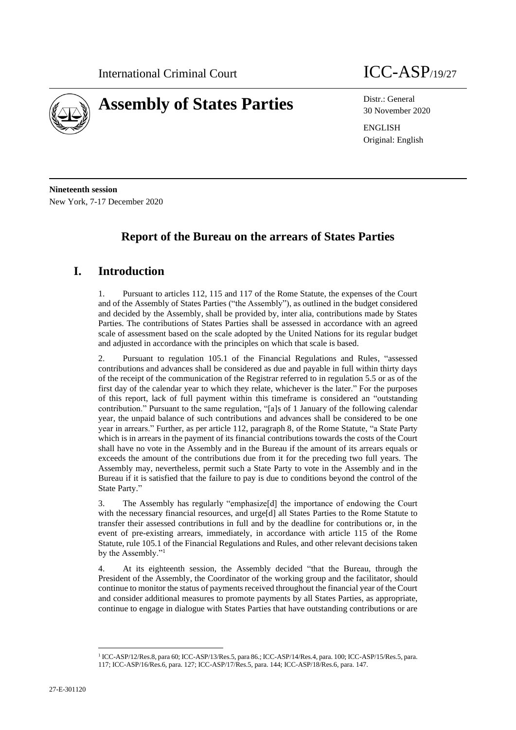

# **Assembly of States Parties** Distr.: General

30 November 2020

ENGLISH Original: English

**Nineteenth session** New York, 7-17 December 2020

## **Report of the Bureau on the arrears of States Parties**

### **I. Introduction**

1. Pursuant to articles 112, 115 and 117 of the Rome Statute, the expenses of the Court and of the Assembly of States Parties ("the Assembly"), as outlined in the budget considered and decided by the Assembly, shall be provided by, inter alia, contributions made by States Parties. The contributions of States Parties shall be assessed in accordance with an agreed scale of assessment based on the scale adopted by the United Nations for its regular budget and adjusted in accordance with the principles on which that scale is based.

2. Pursuant to regulation 105.1 of the Financial Regulations and Rules, "assessed contributions and advances shall be considered as due and payable in full within thirty days of the receipt of the communication of the Registrar referred to in regulation 5.5 or as of the first day of the calendar year to which they relate, whichever is the later." For the purposes of this report, lack of full payment within this timeframe is considered an "outstanding contribution." Pursuant to the same regulation, "[a]s of 1 January of the following calendar year, the unpaid balance of such contributions and advances shall be considered to be one year in arrears." Further, as per article 112, paragraph 8, of the Rome Statute, "a State Party which is in arrears in the payment of its financial contributions towards the costs of the Court shall have no vote in the Assembly and in the Bureau if the amount of its arrears equals or exceeds the amount of the contributions due from it for the preceding two full years. The Assembly may, nevertheless, permit such a State Party to vote in the Assembly and in the Bureau if it is satisfied that the failure to pay is due to conditions beyond the control of the State Party."

3. The Assembly has regularly "emphasize[d] the importance of endowing the Court with the necessary financial resources, and urge[d] all States Parties to the Rome Statute to transfer their assessed contributions in full and by the deadline for contributions or, in the event of pre-existing arrears, immediately, in accordance with article 115 of the Rome Statute, rule 105.1 of the Financial Regulations and Rules, and other relevant decisions taken by the Assembly."<sup>1</sup>

4. At its eighteenth session, the Assembly decided "that the Bureau, through the President of the Assembly, the Coordinator of the working group and the facilitator, should continue to monitor the status of payments received throughout the financial year of the Court and consider additional measures to promote payments by all States Parties, as appropriate, continue to engage in dialogue with States Parties that have outstanding contributions or are

<sup>1</sup> ICC-ASP/12/Res.8, para 60; ICC-ASP/13/Res.5, para 86.; ICC-ASP/14/Res.4, para. 100; ICC-ASP/15/Res.5, para. 117; ICC-ASP/16/Res.6, para. 127; ICC-ASP/17/Res.5, para. 144; ICC-ASP/18/Res.6, para. 147.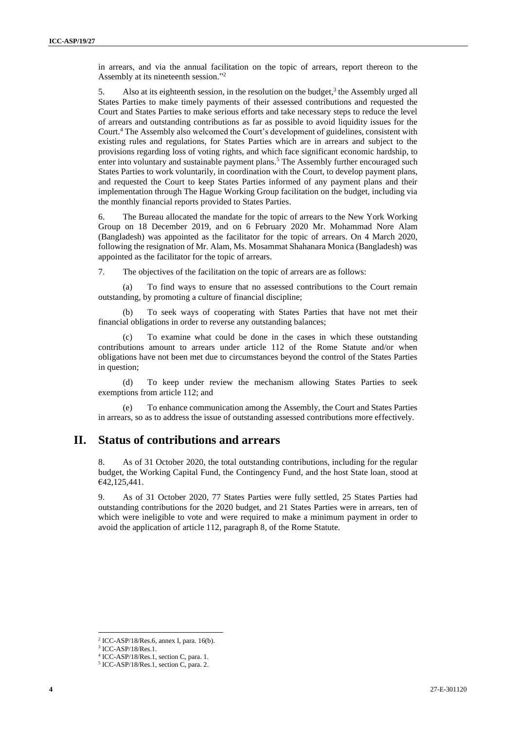in arrears, and via the annual facilitation on the topic of arrears, report thereon to the Assembly at its nineteenth session." 2

5. Also at its eighteenth session, in the resolution on the budget, $3$  the Assembly urged all States Parties to make timely payments of their assessed contributions and requested the Court and States Parties to make serious efforts and take necessary steps to reduce the level of arrears and outstanding contributions as far as possible to avoid liquidity issues for the Court.<sup>4</sup> The Assembly also welcomed the Court's development of guidelines, consistent with existing rules and regulations, for States Parties which are in arrears and subject to the provisions regarding loss of voting rights, and which face significant economic hardship, to enter into voluntary and sustainable payment plans.<sup>5</sup> The Assembly further encouraged such States Parties to work voluntarily, in coordination with the Court, to develop payment plans, and requested the Court to keep States Parties informed of any payment plans and their implementation through The Hague Working Group facilitation on the budget, including via the monthly financial reports provided to States Parties.

6. The Bureau allocated the mandate for the topic of arrears to the New York Working Group on 18 December 2019, and on 6 February 2020 Mr. Mohammad Nore Alam (Bangladesh) was appointed as the facilitator for the topic of arrears. On 4 March 2020, following the resignation of Mr. Alam, Ms. Mosammat Shahanara Monica (Bangladesh) was appointed as the facilitator for the topic of arrears.

7. The objectives of the facilitation on the topic of arrears are as follows:

(a) To find ways to ensure that no assessed contributions to the Court remain outstanding, by promoting a culture of financial discipline;

(b) To seek ways of cooperating with States Parties that have not met their financial obligations in order to reverse any outstanding balances;

(c) To examine what could be done in the cases in which these outstanding contributions amount to arrears under article 112 of the Rome Statute and/or when obligations have not been met due to circumstances beyond the control of the States Parties in question;

(d) To keep under review the mechanism allowing States Parties to seek exemptions from article 112; and

To enhance communication among the Assembly, the Court and States Parties in arrears, so as to address the issue of outstanding assessed contributions more effectively.

#### **II. Status of contributions and arrears**

8. As of 31 October 2020, the total outstanding contributions, including for the regular budget, the Working Capital Fund, the Contingency Fund, and the host State loan, stood at €42,125,441.

9. As of 31 October 2020, 77 States Parties were fully settled, 25 States Parties had outstanding contributions for the 2020 budget, and 21 States Parties were in arrears, ten of which were ineligible to vote and were required to make a minimum payment in order to avoid the application of article 112, paragraph 8, of the Rome Statute.

<sup>2</sup> ICC-ASP/18/Res.6, annex I, para. 16(b).

<sup>3</sup> ICC-ASP/18/Res.1.

<sup>4</sup> ICC-ASP/18/Res.1, section C, para. 1.

<sup>5</sup> ICC-ASP/18/Res.1, section C, para. 2.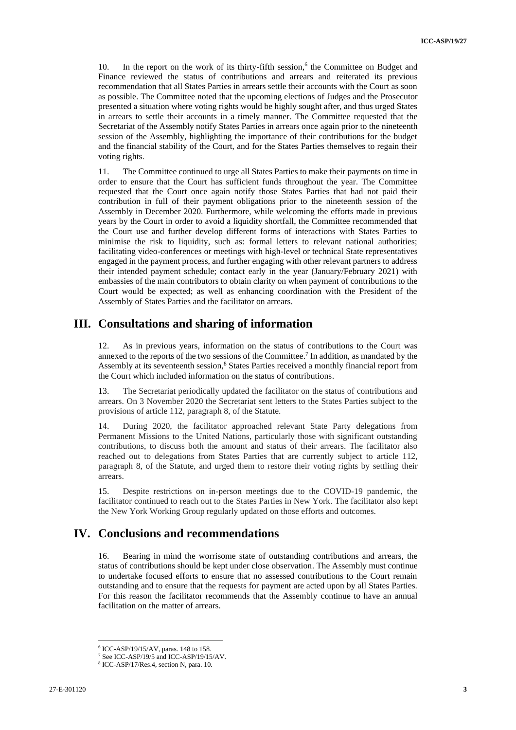10. In the report on the work of its thirty-fifth session,<sup>6</sup> the Committee on Budget and Finance reviewed the status of contributions and arrears and reiterated its previous recommendation that all States Parties in arrears settle their accounts with the Court as soon as possible. The Committee noted that the upcoming elections of Judges and the Prosecutor presented a situation where voting rights would be highly sought after, and thus urged States in arrears to settle their accounts in a timely manner. The Committee requested that the Secretariat of the Assembly notify States Parties in arrears once again prior to the nineteenth session of the Assembly, highlighting the importance of their contributions for the budget and the financial stability of the Court, and for the States Parties themselves to regain their voting rights.

11. The Committee continued to urge all States Parties to make their payments on time in order to ensure that the Court has sufficient funds throughout the year. The Committee requested that the Court once again notify those States Parties that had not paid their contribution in full of their payment obligations prior to the nineteenth session of the Assembly in December 2020. Furthermore, while welcoming the efforts made in previous years by the Court in order to avoid a liquidity shortfall, the Committee recommended that the Court use and further develop different forms of interactions with States Parties to minimise the risk to liquidity, such as: formal letters to relevant national authorities; facilitating video-conferences or meetings with high-level or technical State representatives engaged in the payment process, and further engaging with other relevant partners to address their intended payment schedule; contact early in the year (January/February 2021) with embassies of the main contributors to obtain clarity on when payment of contributions to the Court would be expected; as well as enhancing coordination with the President of the Assembly of States Parties and the facilitator on arrears.

#### **III. Consultations and sharing of information**

12. As in previous years, information on the status of contributions to the Court was annexed to the reports of the two sessions of the Committee. 7 In addition, as mandated by the Assembly at its seventeenth session,<sup>8</sup> States Parties received a monthly financial report from the Court which included information on the status of contributions.

13. The Secretariat periodically updated the facilitator on the status of contributions and arrears. On 3 November 2020 the Secretariat sent letters to the States Parties subject to the provisions of article 112, paragraph 8, of the Statute.

14. During 2020, the facilitator approached relevant State Party delegations from Permanent Missions to the United Nations, particularly those with significant outstanding contributions, to discuss both the amount and status of their arrears. The facilitator also reached out to delegations from States Parties that are currently subject to article 112, paragraph 8, of the Statute, and urged them to restore their voting rights by settling their arrears.

15. Despite restrictions on in-person meetings due to the COVID-19 pandemic, the facilitator continued to reach out to the States Parties in New York. The facilitator also kept the New York Working Group regularly updated on those efforts and outcomes.

#### **IV. Conclusions and recommendations**

16. Bearing in mind the worrisome state of outstanding contributions and arrears, the status of contributions should be kept under close observation. The Assembly must continue to undertake focused efforts to ensure that no assessed contributions to the Court remain outstanding and to ensure that the requests for payment are acted upon by all States Parties. For this reason the facilitator recommends that the Assembly continue to have an annual facilitation on the matter of arrears.

<sup>6</sup> ICC-ASP/19/15/AV, paras. 148 to 158.

<sup>7</sup> See ICC-ASP/19/5 and ICC-ASP/19/15/AV.

<sup>8</sup> ICC-ASP/17/Res.4, section N, para. 10.